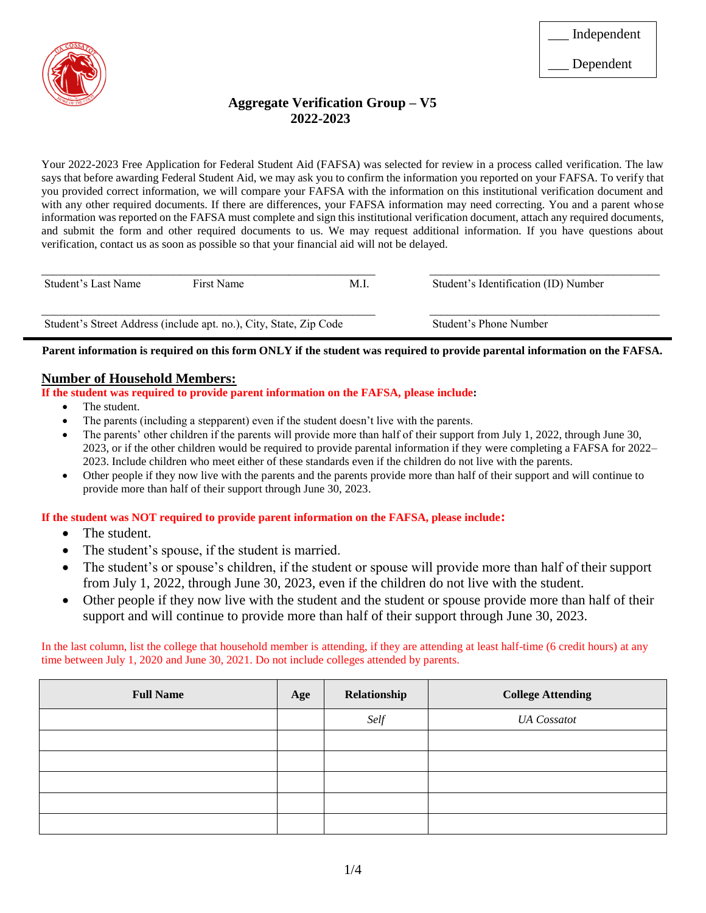

## **Aggregate Verification Group – V5 2022-2023**

Your 2022-2023 Free Application for Federal Student Aid (FAFSA) was selected for review in a process called verification. The law says that before awarding Federal Student Aid, we may ask you to confirm the information you reported on your FAFSA. To verify that you provided correct information, we will compare your FAFSA with the information on this institutional verification document and with any other required documents. If there are differences, your FAFSA information may need correcting. You and a parent whose information was reported on the FAFSA must complete and sign this institutional verification document, attach any required documents, and submit the form and other required documents to us. We may request additional information. If you have questions about verification, contact us as soon as possible so that your financial aid will not be delayed.

| Student's Last Name | First Name                                                         | M.I. | Student's Identification (ID) Number |  |
|---------------------|--------------------------------------------------------------------|------|--------------------------------------|--|
|                     | Student's Street Address (include apt. no.), City, State, Zip Code |      | Student's Phone Number               |  |

**Parent information is required on this form ONLY if the student was required to provide parental information on the FAFSA.**

### **Number of Household Members:**

**If the student was required to provide parent information on the FAFSA, please include:**

- The student.
- The parents (including a stepparent) even if the student doesn't live with the parents.
- The parents' other children if the parents will provide more than half of their support from July 1, 2022, through June 30, 2023, or if the other children would be required to provide parental information if they were completing a FAFSA for 2022– 2023. Include children who meet either of these standards even if the children do not live with the parents.
- Other people if they now live with the parents and the parents provide more than half of their support and will continue to provide more than half of their support through June 30, 2023.

### **If the student was NOT required to provide parent information on the FAFSA, please include:**

- The student.
- The student's spouse, if the student is married.
- The student's or spouse's children, if the student or spouse will provide more than half of their support from July 1, 2022, through June 30, 2023, even if the children do not live with the student.
- Other people if they now live with the student and the student or spouse provide more than half of their support and will continue to provide more than half of their support through June 30, 2023.

In the last column, list the college that household member is attending, if they are attending at least half-time (6 credit hours) at any time between July 1, 2020 and June 30, 2021. Do not include colleges attended by parents.

| <b>Full Name</b> | Age | Relationship | <b>College Attending</b> |
|------------------|-----|--------------|--------------------------|
|                  |     | Self         | <b>UA</b> Cossatot       |
|                  |     |              |                          |
|                  |     |              |                          |
|                  |     |              |                          |
|                  |     |              |                          |
|                  |     |              |                          |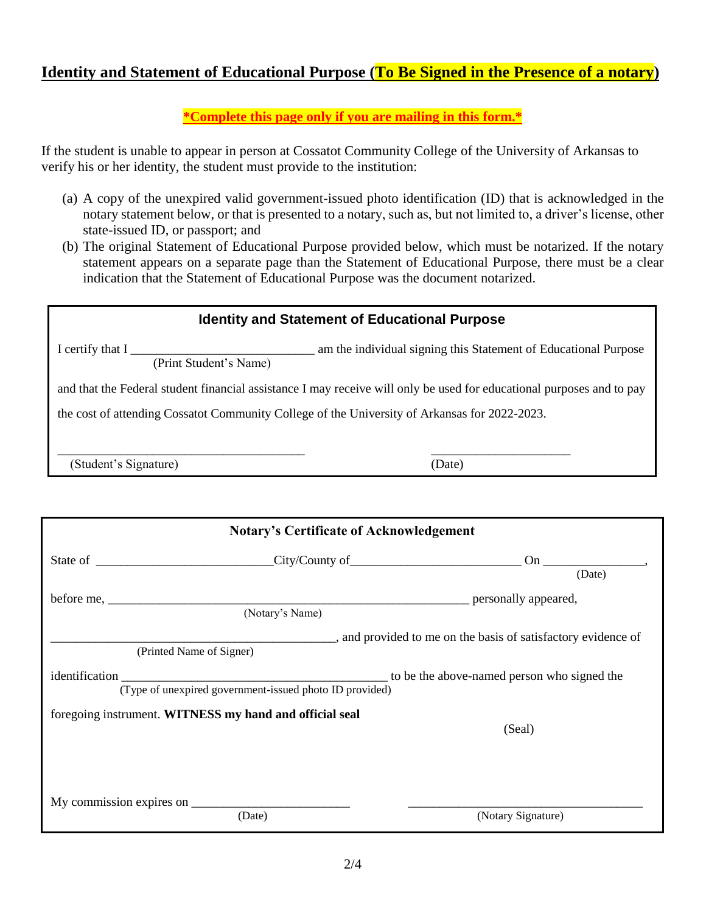## **Identity and Statement of Educational Purpose (To Be Signed in the Presence of a notary)**

**\*Complete this page only if you are mailing in this form.\***

If the student is unable to appear in person at Cossatot Community College of the University of Arkansas to verify his or her identity, the student must provide to the institution:

- (a) A copy of the unexpired valid government-issued photo identification (ID) that is acknowledged in the notary statement below, or that is presented to a notary, such as, but not limited to, a driver's license, other state-issued ID, or passport; and
- (b) The original Statement of Educational Purpose provided below, which must be notarized. If the notary statement appears on a separate page than the Statement of Educational Purpose, there must be a clear indication that the Statement of Educational Purpose was the document notarized.

| <b>Identity and Statement of Educational Purpose</b>                                          |                                                                                                                       |  |  |
|-----------------------------------------------------------------------------------------------|-----------------------------------------------------------------------------------------------------------------------|--|--|
| I certify that $I_{\perp}$<br>(Print Student's Name)                                          | am the individual signing this Statement of Educational Purpose                                                       |  |  |
|                                                                                               | and that the Federal student financial assistance I may receive will only be used for educational purposes and to pay |  |  |
| the cost of attending Cossatot Community College of the University of Arkansas for 2022-2023. |                                                                                                                       |  |  |
|                                                                                               |                                                                                                                       |  |  |
| (Student's Signature)                                                                         | (Date)                                                                                                                |  |  |
|                                                                                               |                                                                                                                       |  |  |

| <b>Notary's Certificate of Acknowledgement</b>          |                                                             |
|---------------------------------------------------------|-------------------------------------------------------------|
|                                                         |                                                             |
|                                                         | (Date)                                                      |
|                                                         |                                                             |
| (Notary's Name)                                         |                                                             |
|                                                         | and provided to me on the basis of satisfactory evidence of |
| (Printed Name of Signer)                                |                                                             |
|                                                         |                                                             |
| (Type of unexpired government-issued photo ID provided) |                                                             |
| foregoing instrument. WITNESS my hand and official seal |                                                             |
|                                                         | (Seal)                                                      |
|                                                         |                                                             |
|                                                         |                                                             |
|                                                         |                                                             |
| (Date)                                                  | (Notary Signature)                                          |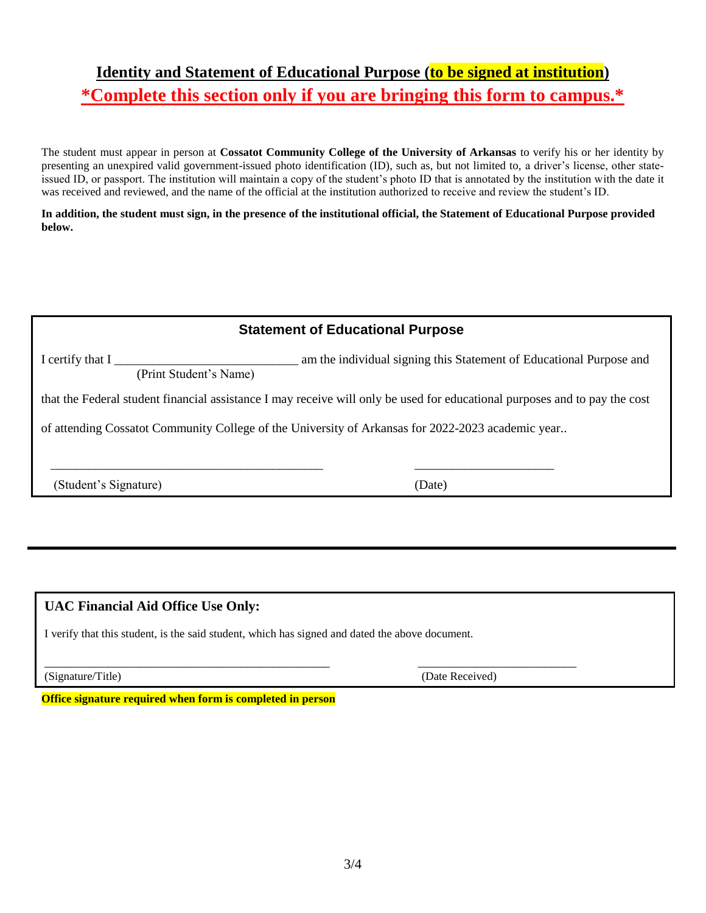# **Identity and Statement of Educational Purpose (to be signed at institution) \*Complete this section only if you are bringing this form to campus.\***

The student must appear in person at **Cossatot Community College of the University of Arkansas** to verify his or her identity by presenting an unexpired valid government-issued photo identification (ID), such as, but not limited to, a driver's license, other stateissued ID, or passport. The institution will maintain a copy of the student's photo ID that is annotated by the institution with the date it was received and reviewed, and the name of the official at the institution authorized to receive and review the student's ID.

### **In addition, the student must sign, in the presence of the institutional official, the Statement of Educational Purpose provided below.**

| <b>Statement of Educational Purpose</b>                                                                           |                                                                                                                            |  |  |
|-------------------------------------------------------------------------------------------------------------------|----------------------------------------------------------------------------------------------------------------------------|--|--|
| am the individual signing this Statement of Educational Purpose and<br>I certify that I<br>(Print Student's Name) |                                                                                                                            |  |  |
|                                                                                                                   | that the Federal student financial assistance I may receive will only be used for educational purposes and to pay the cost |  |  |
| of attending Cossatot Community College of the University of Arkansas for 2022-2023 academic year                 |                                                                                                                            |  |  |
| (Student's Signature)                                                                                             | (Date)                                                                                                                     |  |  |
|                                                                                                                   |                                                                                                                            |  |  |

## **UAC Financial Aid Office Use Only:**

I verify that this student, is the said student, which has signed and dated the above document.

\_\_\_\_\_\_\_\_\_\_\_\_\_\_\_\_\_\_\_\_\_\_\_\_\_\_\_\_\_\_\_\_\_\_\_\_\_\_\_\_\_\_\_\_\_ \_\_\_\_\_\_\_\_\_\_\_\_\_\_\_\_\_\_\_\_\_\_\_\_\_ (Signature/Title) (Date Received)

**Office signature required when form is completed in person**